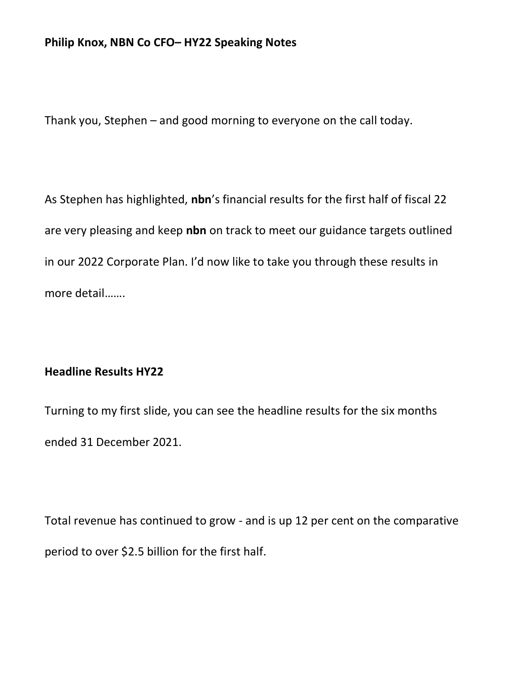### Philip Knox, NBN Co CFO– HY22 Speaking Notes

Thank you, Stephen – and good morning to everyone on the call today.

As Stephen has highlighted, nbn's financial results for the first half of fiscal 22 are very pleasing and keep nbn on track to meet our guidance targets outlined in our 2022 Corporate Plan. I'd now like to take you through these results in more detail…….

#### Headline Results HY22

Turning to my first slide, you can see the headline results for the six months ended 31 December 2021.

Total revenue has continued to grow - and is up 12 per cent on the comparative period to over \$2.5 billion for the first half.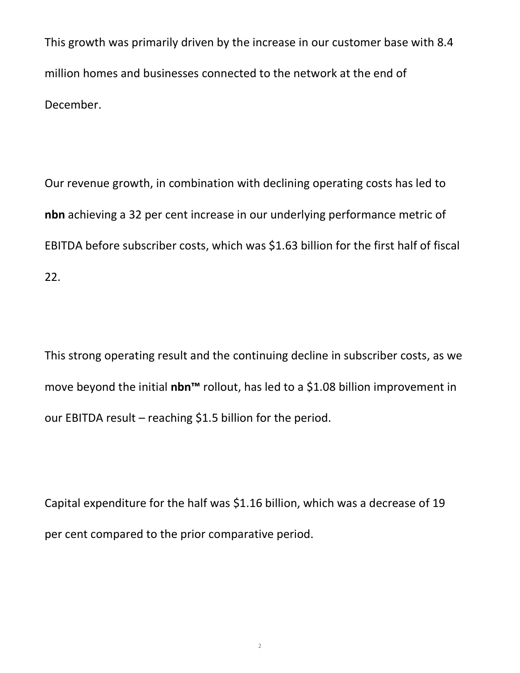This growth was primarily driven by the increase in our customer base with 8.4 million homes and businesses connected to the network at the end of December.

Our revenue growth, in combination with declining operating costs has led to nbn achieving a 32 per cent increase in our underlying performance metric of EBITDA before subscriber costs, which was \$1.63 billion for the first half of fiscal 22.

This strong operating result and the continuing decline in subscriber costs, as we move beyond the initial nbn<sup>™</sup> rollout, has led to a \$1.08 billion improvement in our EBITDA result – reaching \$1.5 billion for the period.

Capital expenditure for the half was \$1.16 billion, which was a decrease of 19 per cent compared to the prior comparative period.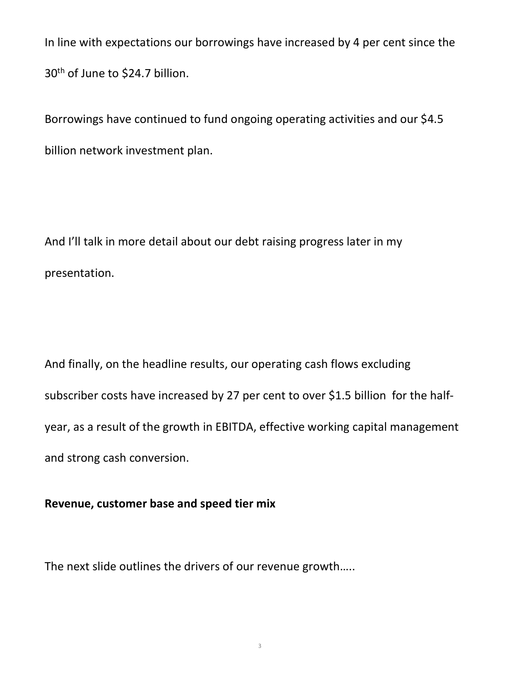In line with expectations our borrowings have increased by 4 per cent since the 30th of June to \$24.7 billion.

Borrowings have continued to fund ongoing operating activities and our \$4.5 billion network investment plan.

And I'll talk in more detail about our debt raising progress later in my presentation.

And finally, on the headline results, our operating cash flows excluding subscriber costs have increased by 27 per cent to over \$1.5 billion for the halfyear, as a result of the growth in EBITDA, effective working capital management and strong cash conversion.

## Revenue, customer base and speed tier mix

The next slide outlines the drivers of our revenue growth…..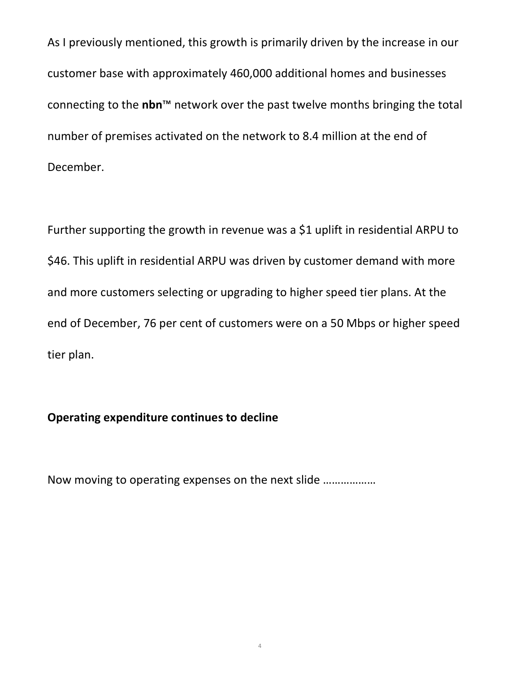As I previously mentioned, this growth is primarily driven by the increase in our customer base with approximately 460,000 additional homes and businesses connecting to the nbn<sup>™</sup> network over the past twelve months bringing the total number of premises activated on the network to 8.4 million at the end of December.

Further supporting the growth in revenue was a \$1 uplift in residential ARPU to \$46. This uplift in residential ARPU was driven by customer demand with more and more customers selecting or upgrading to higher speed tier plans. At the end of December, 76 per cent of customers were on a 50 Mbps or higher speed tier plan.

# Operating expenditure continues to decline

Now moving to operating expenses on the next slide ………………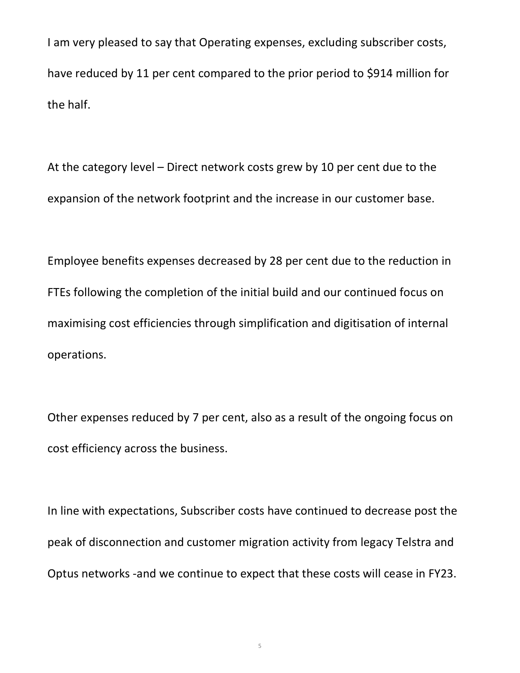I am very pleased to say that Operating expenses, excluding subscriber costs, have reduced by 11 per cent compared to the prior period to \$914 million for the half.

At the category level – Direct network costs grew by 10 per cent due to the expansion of the network footprint and the increase in our customer base.

Employee benefits expenses decreased by 28 per cent due to the reduction in FTEs following the completion of the initial build and our continued focus on maximising cost efficiencies through simplification and digitisation of internal operations.

Other expenses reduced by 7 per cent, also as a result of the ongoing focus on cost efficiency across the business.

In line with expectations, Subscriber costs have continued to decrease post the peak of disconnection and customer migration activity from legacy Telstra and Optus networks -and we continue to expect that these costs will cease in FY23.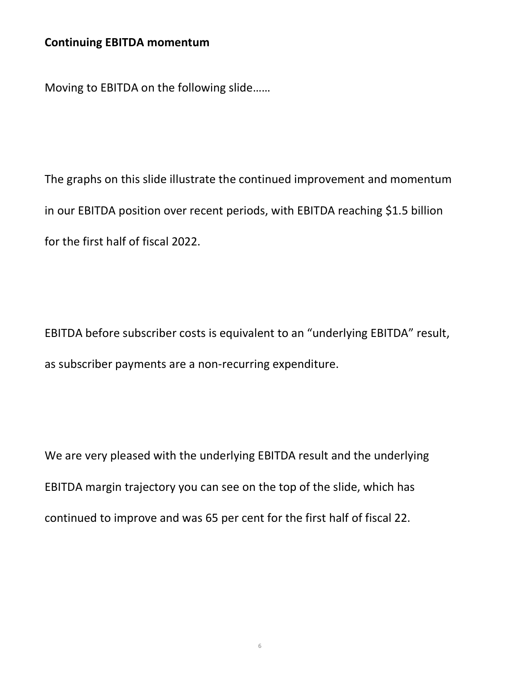### Continuing EBITDA momentum

Moving to EBITDA on the following slide……

The graphs on this slide illustrate the continued improvement and momentum in our EBITDA position over recent periods, with EBITDA reaching \$1.5 billion for the first half of fiscal 2022.

EBITDA before subscriber costs is equivalent to an "underlying EBITDA" result, as subscriber payments are a non-recurring expenditure.

We are very pleased with the underlying EBITDA result and the underlying EBITDA margin trajectory you can see on the top of the slide, which has continued to improve and was 65 per cent for the first half of fiscal 22.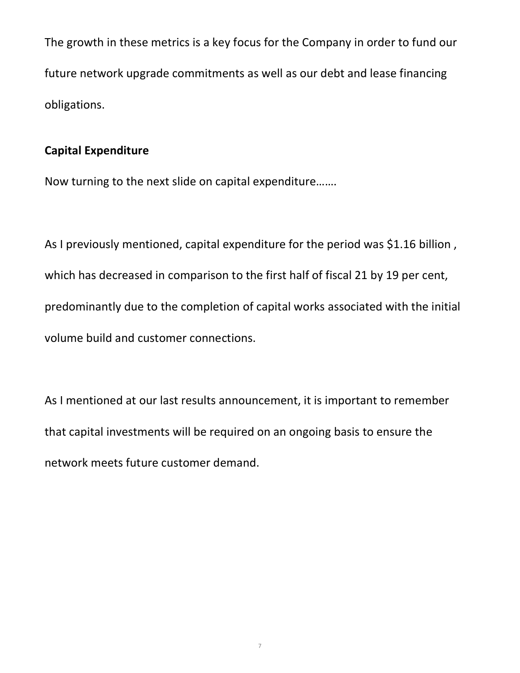The growth in these metrics is a key focus for the Company in order to fund our future network upgrade commitments as well as our debt and lease financing obligations.

## Capital Expenditure

Now turning to the next slide on capital expenditure…….

As I previously mentioned, capital expenditure for the period was \$1.16 billion , which has decreased in comparison to the first half of fiscal 21 by 19 per cent, predominantly due to the completion of capital works associated with the initial volume build and customer connections.

As I mentioned at our last results announcement, it is important to remember that capital investments will be required on an ongoing basis to ensure the network meets future customer demand.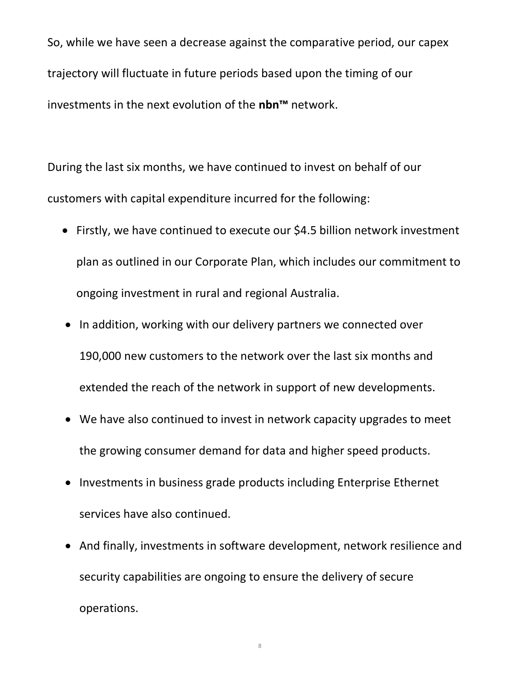So, while we have seen a decrease against the comparative period, our capex trajectory will fluctuate in future periods based upon the timing of our investments in the next evolution of the nbn™ network.

During the last six months, we have continued to invest on behalf of our customers with capital expenditure incurred for the following:

- Firstly, we have continued to execute our \$4.5 billion network investment plan as outlined in our Corporate Plan, which includes our commitment to ongoing investment in rural and regional Australia.
- In addition, working with our delivery partners we connected over 190,000 new customers to the network over the last six months and extended the reach of the network in support of new developments.
- We have also continued to invest in network capacity upgrades to meet the growing consumer demand for data and higher speed products.
- Investments in business grade products including Enterprise Ethernet services have also continued.
- And finally, investments in software development, network resilience and security capabilities are ongoing to ensure the delivery of secure operations.

8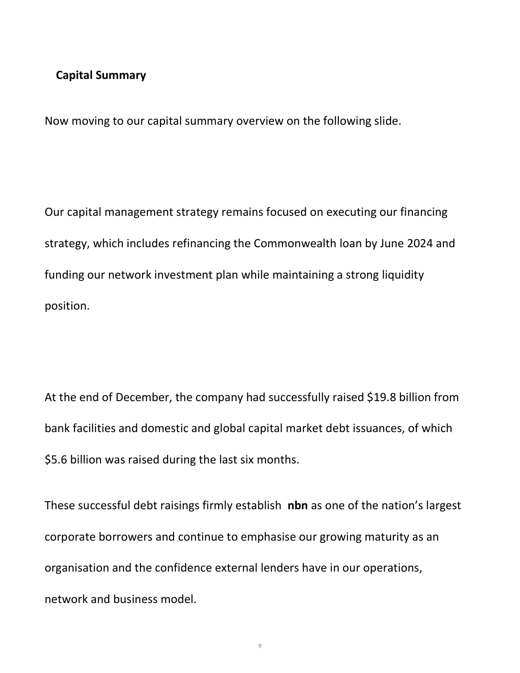#### Capital Summary

Now moving to our capital summary overview on the following slide.

Our capital management strategy remains focused on executing our financing strategy, which includes refinancing the Commonwealth loan by June 2024 and funding our network investment plan while maintaining a strong liquidity position.

At the end of December, the company had successfully raised \$19.8 billion from bank facilities and domestic and global capital market debt issuances, of which \$5.6 billion was raised during the last six months.

These successful debt raisings firmly establish nbn as one of the nation's largest corporate borrowers and continue to emphasise our growing maturity as an organisation and the confidence external lenders have in our operations, network and business model.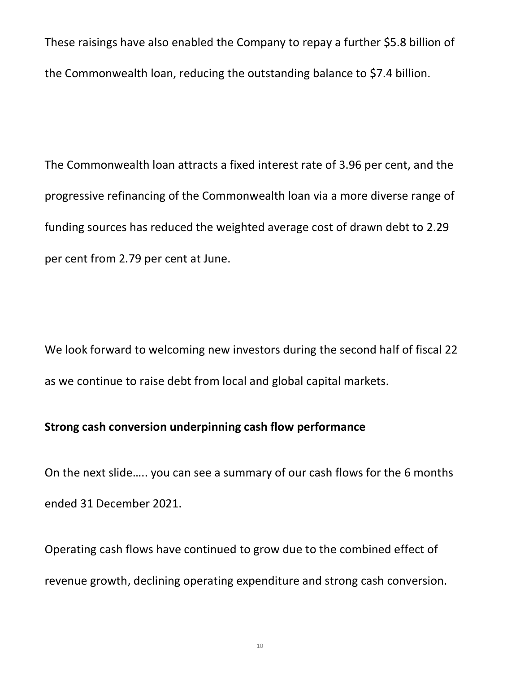These raisings have also enabled the Company to repay a further \$5.8 billion of the Commonwealth loan, reducing the outstanding balance to \$7.4 billion.

The Commonwealth loan attracts a fixed interest rate of 3.96 per cent, and the progressive refinancing of the Commonwealth loan via a more diverse range of funding sources has reduced the weighted average cost of drawn debt to 2.29 per cent from 2.79 per cent at June.

We look forward to welcoming new investors during the second half of fiscal 22 as we continue to raise debt from local and global capital markets.

## Strong cash conversion underpinning cash flow performance

On the next slide….. you can see a summary of our cash flows for the 6 months ended 31 December 2021.

Operating cash flows have continued to grow due to the combined effect of revenue growth, declining operating expenditure and strong cash conversion.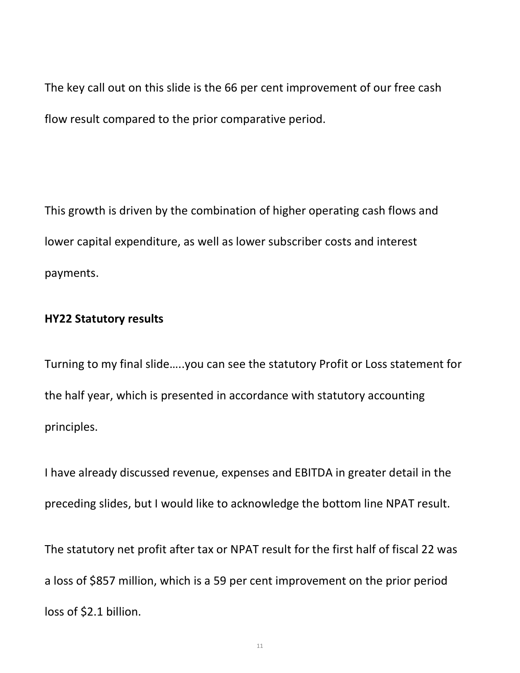The key call out on this slide is the 66 per cent improvement of our free cash flow result compared to the prior comparative period.

This growth is driven by the combination of higher operating cash flows and lower capital expenditure, as well as lower subscriber costs and interest payments.

#### HY22 Statutory results

Turning to my final slide…..you can see the statutory Profit or Loss statement for the half year, which is presented in accordance with statutory accounting principles.

I have already discussed revenue, expenses and EBITDA in greater detail in the preceding slides, but I would like to acknowledge the bottom line NPAT result.

The statutory net profit after tax or NPAT result for the first half of fiscal 22 was a loss of \$857 million, which is a 59 per cent improvement on the prior period loss of \$2.1 billion.